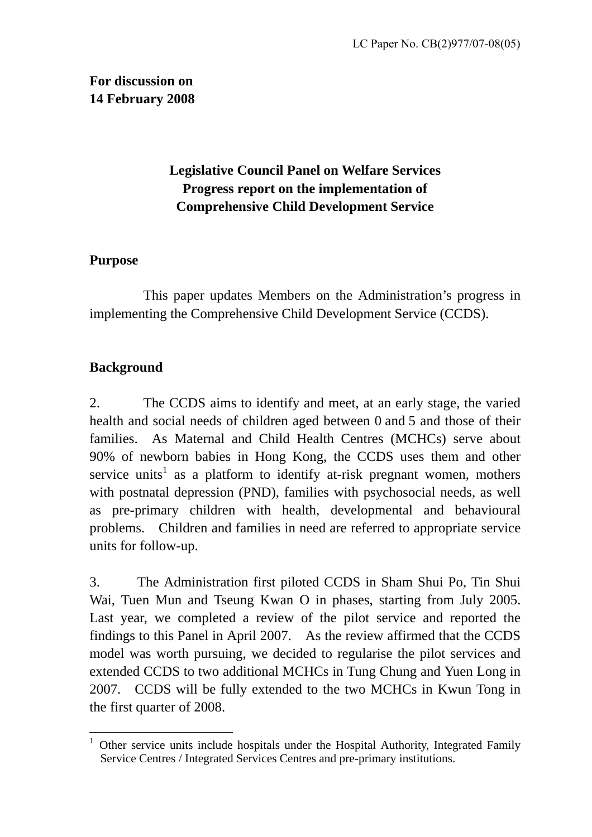# **Legislative Council Panel on Welfare Services Progress report on the implementation of Comprehensive Child Development Service**

#### **Purpose**

 This paper updates Members on the Administration's progress in implementing the Comprehensive Child Development Service (CCDS).

### **Background**

2. The CCDS aims to identify and meet, at an early stage, the varied health and social needs of children aged between 0 and 5 and those of their families. As Maternal and Child Health Centres (MCHCs) serve about 90% of newborn babies in Hong Kong, the CCDS uses them and other service units<sup>[1](#page-0-0)</sup> as a platform to identify at-risk pregnant women, mothers with postnatal depression (PND), families with psychosocial needs, as well as pre-primary children with health, developmental and behavioural problems. Children and families in need are referred to appropriate service units for follow-up.

3. The Administration first piloted CCDS in Sham Shui Po, Tin Shui Wai, Tuen Mun and Tseung Kwan O in phases, starting from July 2005. Last year, we completed a review of the pilot service and reported the findings to this Panel in April 2007. As the review affirmed that the CCDS model was worth pursuing, we decided to regularise the pilot services and extended CCDS to two additional MCHCs in Tung Chung and Yuen Long in 2007. CCDS will be fully extended to the two MCHCs in Kwun Tong in the first quarter of 2008.

<span id="page-0-0"></span><sup>&</sup>lt;sup>1</sup> Other service units include hospitals under the Hospital Authority, Integrated Family Service Centres / Integrated Services Centres and pre-primary institutions.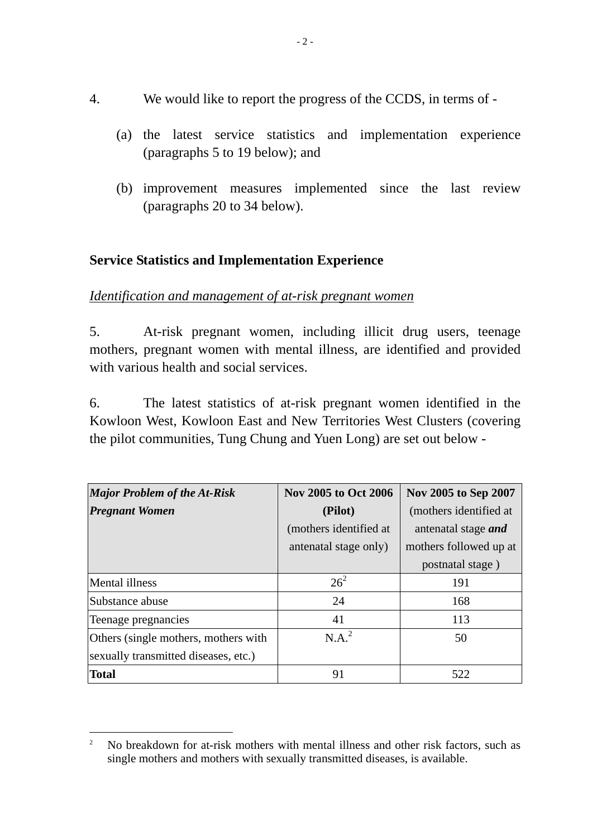- 4. We would like to report the progress of the CCDS, in terms of
	- (a) the latest service statistics and implementation experience (paragraphs 5 to 19 below); and
	- (b) improvement measures implemented since the last review (paragraphs 20 to 34 below).

### **Service Statistics and Implementation Experience**

### *Identification and management of at-risk pregnant women*

5. At-risk pregnant women, including illicit drug users, teenage mothers, pregnant women with mental illness, are identified and provided with various health and social services.

6. The latest statistics of at-risk pregnant women identified in the Kowloon West, Kowloon East and New Territories West Clusters (covering the pilot communities, Tung Chung and Yuen Long) are set out below -

| <b>Major Problem of the At-Risk</b>  | <b>Nov 2005 to Oct 2006</b> | Nov 2005 to Sep 2007       |  |
|--------------------------------------|-----------------------------|----------------------------|--|
| <b>Pregnant Women</b>                | (Pilot)                     | (mothers identified at     |  |
|                                      | (mothers identified at)     | antenatal stage <i>and</i> |  |
|                                      | antenatal stage only)       | mothers followed up at     |  |
|                                      |                             | postnatal stage)           |  |
| Mental illness                       | $26^{2}$                    | 191                        |  |
| Substance abuse                      | 24                          | 168                        |  |
| Teenage pregnancies                  | 41                          | 113                        |  |
| Others (single mothers, mothers with | N.A. <sup>2</sup>           | 50                         |  |
| sexually transmitted diseases, etc.) |                             |                            |  |
| <b>Total</b>                         | 91                          | 522                        |  |

 $\overline{a}$ 

<span id="page-1-0"></span><sup>2</sup> No breakdown for at-risk mothers with mental illness and other risk factors, such as single mothers and mothers with sexually transmitted diseases, is available.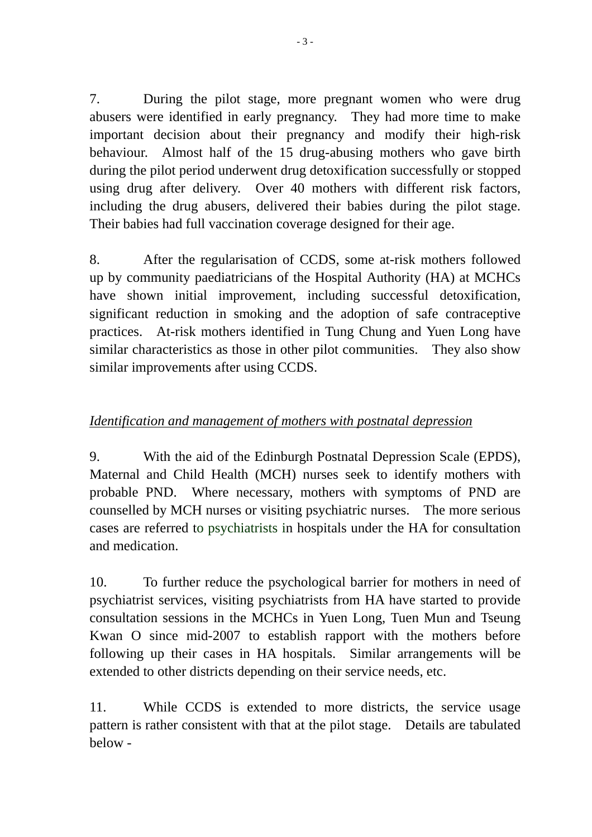7. During the pilot stage, more pregnant women who were drug abusers were identified in early pregnancy. They had more time to make important decision about their pregnancy and modify their high-risk behaviour. Almost half of the 15 drug-abusing mothers who gave birth during the pilot period underwent drug detoxification successfully or stopped using drug after delivery. Over 40 mothers with different risk factors, including the drug abusers, delivered their babies during the pilot stage. Their babies had full vaccination coverage designed for their age.

8. After the regularisation of CCDS, some at-risk mothers followed up by community paediatricians of the Hospital Authority (HA) at MCHCs have shown initial improvement, including successful detoxification, significant reduction in smoking and the adoption of safe contraceptive practices. At-risk mothers identified in Tung Chung and Yuen Long have similar characteristics as those in other pilot communities. They also show similar improvements after using CCDS.

# *Identification and management of mothers with postnatal depression*

9. With the aid of the Edinburgh Postnatal Depression Scale (EPDS), Maternal and Child Health (MCH) nurses seek to identify mothers with probable PND. Where necessary, mothers with symptoms of PND are counselled by MCH nurses or visiting psychiatric nurses. The more serious cases are referred to psychiatrists in hospitals under the HA for consultation and medication.

10. To further reduce the psychological barrier for mothers in need of psychiatrist services, visiting psychiatrists from HA have started to provide consultation sessions in the MCHCs in Yuen Long, Tuen Mun and Tseung Kwan O since mid-2007 to establish rapport with the mothers before following up their cases in HA hospitals. Similar arrangements will be extended to other districts depending on their service needs, etc.

11. While CCDS is extended to more districts, the service usage pattern is rather consistent with that at the pilot stage. Details are tabulated below -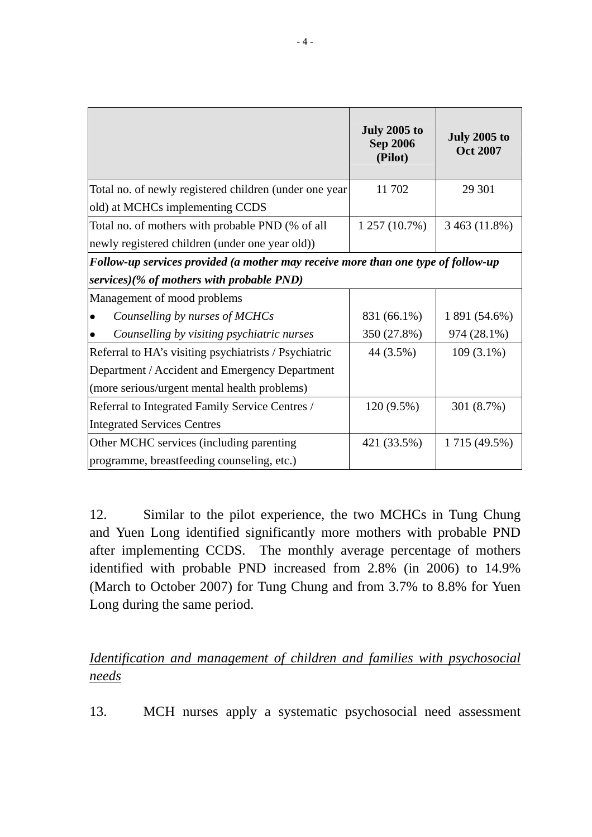|                                                                                   | <b>July 2005 to</b><br><b>Sep 2006</b><br>(Pilot) | <b>July 2005 to</b><br><b>Oct 2007</b> |  |
|-----------------------------------------------------------------------------------|---------------------------------------------------|----------------------------------------|--|
| Total no. of newly registered children (under one year                            | 11 702                                            | 29 301                                 |  |
| old) at MCHCs implementing CCDS                                                   |                                                   |                                        |  |
| Total no. of mothers with probable PND (% of all                                  | 1 257 (10.7%)                                     | 3 463 (11.8%)                          |  |
| newly registered children (under one year old))                                   |                                                   |                                        |  |
| Follow-up services provided (a mother may receive more than one type of follow-up |                                                   |                                        |  |
| services)(% of mothers with probable $PND$ )                                      |                                                   |                                        |  |
| Management of mood problems                                                       |                                                   |                                        |  |
| Counselling by nurses of MCHCs                                                    | 831 (66.1%)                                       | 1 891 (54.6%)                          |  |
| Counselling by visiting psychiatric nurses                                        | 350 (27.8%)                                       | 974 (28.1%)                            |  |
| Referral to HA's visiting psychiatrists / Psychiatric                             | 44 (3.5%)                                         | $109(3.1\%)$                           |  |
| Department / Accident and Emergency Department                                    |                                                   |                                        |  |
| (more serious/urgent mental health problems)                                      |                                                   |                                        |  |
| Referral to Integrated Family Service Centres /                                   | 120 (9.5%)                                        | 301 (8.7%)                             |  |
| <b>Integrated Services Centres</b>                                                |                                                   |                                        |  |
| Other MCHC services (including parenting                                          | 421 (33.5%)                                       | 1715 (49.5%)                           |  |
| programme, breastfeeding counseling, etc.)                                        |                                                   |                                        |  |

12. Similar to the pilot experience, the two MCHCs in Tung Chung and Yuen Long identified significantly more mothers with probable PND after implementing CCDS. The monthly average percentage of mothers identified with probable PND increased from 2.8% (in 2006) to 14.9% (March to October 2007) for Tung Chung and from 3.7% to 8.8% for Yuen Long during the same period.

*Identification and management of children and families with psychosocial needs*

13. MCH nurses apply a systematic psychosocial need assessment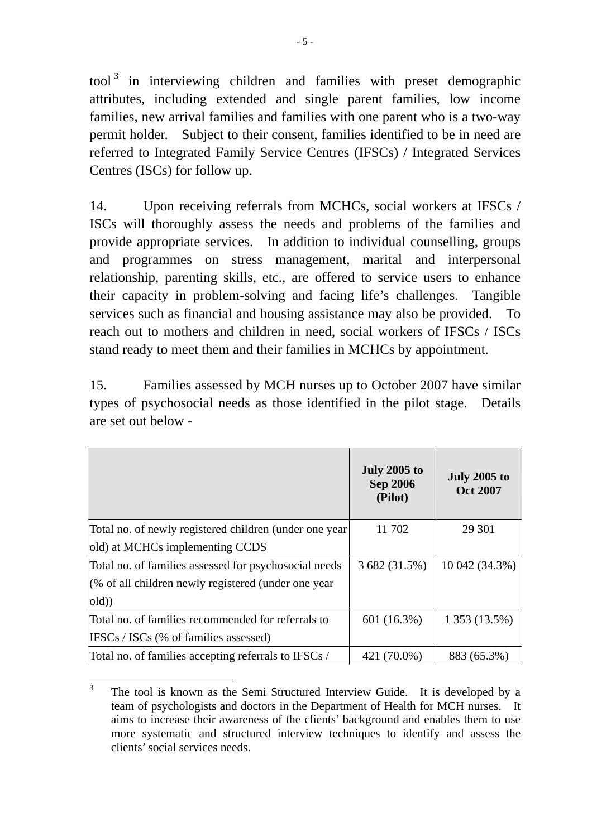tool<sup>3</sup> in interviewing children and families with preset demographic attributes, including extended and single parent families, low income families, new arrival families and families with one parent who is a two-way permit holder. Subject to their consent, families identified to be in need are referred to Integrated Family Service Centres (IFSCs) / Integrated Services Centres (ISCs) for follow up.

14. Upon receiving referrals from MCHCs, social workers at IFSCs / ISCs will thoroughly assess the needs and problems of the families and provide appropriate services. In addition to individual counselling, groups and programmes on stress management, marital and interpersonal relationship, parenting skills, etc., are offered to service users to enhance their capacity in problem-solving and facing life's challenges. Tangible services such as financial and housing assistance may also be provided. To reach out to mothers and children in need, social workers of IFSCs / ISCs stand ready to meet them and their families in MCHCs by appointment.

15. Families assessed by MCH nurses up to October 2007 have similar types of psychosocial needs as those identified in the pilot stage. Details are set out below -

|                                                        | <b>July 2005 to</b><br><b>Sep 2006</b><br>(Pilot) | <b>July 2005 to</b><br><b>Oct 2007</b> |
|--------------------------------------------------------|---------------------------------------------------|----------------------------------------|
| Total no. of newly registered children (under one year | 11 702                                            | 29 301                                 |
| old) at MCHCs implementing CCDS                        |                                                   |                                        |
| Total no. of families assessed for psychosocial needs  | 3 682 (31.5%)                                     | 10 042 (34.3%)                         |
| (% of all children newly registered (under one year    |                                                   |                                        |
| old)                                                   |                                                   |                                        |
| Total no. of families recommended for referrals to     | 601 (16.3%)                                       | 1 353 (13.5%)                          |
| IFSCs / ISCs (% of families assessed)                  |                                                   |                                        |
| Total no. of families accepting referrals to IFSCs /   | 421 (70.0%)                                       | 883 (65.3%)                            |

<span id="page-4-0"></span> $\frac{1}{3}$  The tool is known as the Semi Structured Interview Guide. It is developed by a team of psychologists and doctors in the Department of Health for MCH nurses. It aims to increase their awareness of the clients' background and enables them to use more systematic and structured interview techniques to identify and assess the clients' social services needs.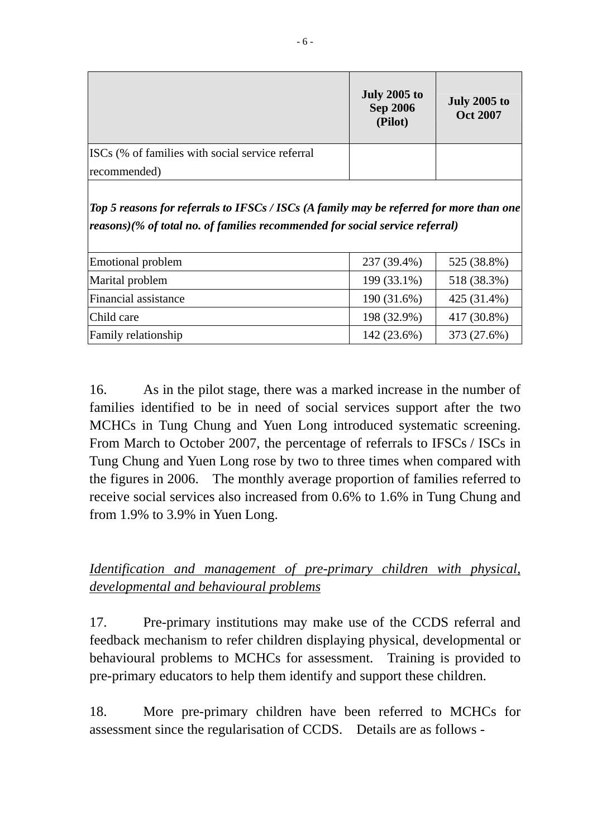|                                                  | <b>July 2005 to</b><br><b>Sep 2006</b><br>(Pilot) | <b>July 2005 to</b><br><b>Oct 2007</b> |
|--------------------------------------------------|---------------------------------------------------|----------------------------------------|
| ISCs (% of families with social service referral |                                                   |                                        |
| recommended)                                     |                                                   |                                        |

*Top 5 reasons for referrals to IFSCs / ISCs (A family may be referred for more than one reasons)(% of total no. of families recommended for social service referral)* 

| Emotional problem    | 237 (39.4%) | 525 (38.8%) |
|----------------------|-------------|-------------|
| Marital problem      | 199 (33.1%) | 518 (38.3%) |
| Financial assistance | 190 (31.6%) | 425 (31.4%) |
| Child care           | 198 (32.9%) | 417 (30.8%) |
| Family relationship  | 142 (23.6%) | 373 (27.6%) |

16. As in the pilot stage, there was a marked increase in the number of families identified to be in need of social services support after the two MCHCs in Tung Chung and Yuen Long introduced systematic screening. From March to October 2007, the percentage of referrals to IFSCs / ISCs in Tung Chung and Yuen Long rose by two to three times when compared with the figures in 2006. The monthly average proportion of families referred to receive social services also increased from 0.6% to 1.6% in Tung Chung and from 1.9% to 3.9% in Yuen Long.

## *Identification and management of pre-primary children with physical, developmental and behavioural problems*

17. Pre-primary institutions may make use of the CCDS referral and feedback mechanism to refer children displaying physical, developmental or behavioural problems to MCHCs for assessment. Training is provided to pre-primary educators to help them identify and support these children.

18. More pre-primary children have been referred to MCHCs for assessment since the regularisation of CCDS. Details are as follows -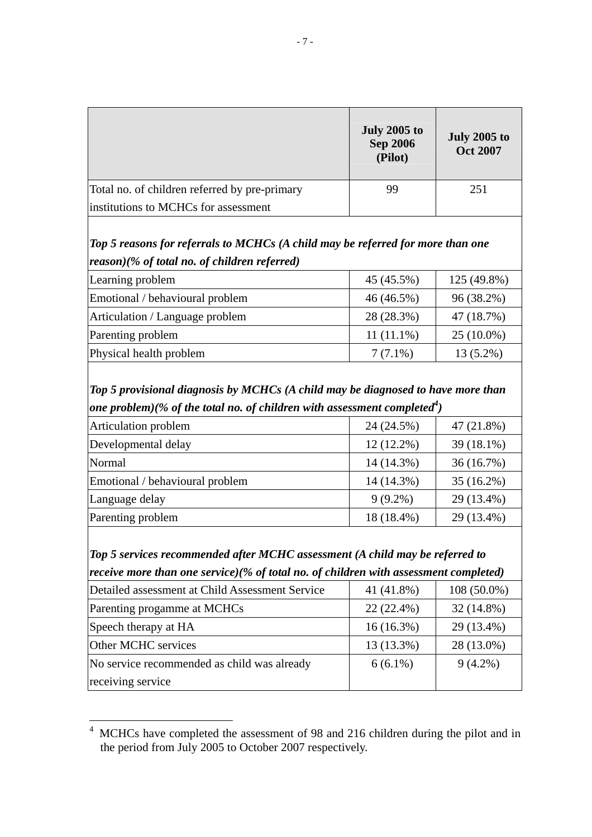|                                               | <b>July 2005 to</b><br><b>Sep 2006</b><br>(Pilot) | <b>July 2005 to</b><br><b>Oct 2007</b> |
|-----------------------------------------------|---------------------------------------------------|----------------------------------------|
| Total no. of children referred by pre-primary | 99                                                | 251                                    |
| institutions to MCHCs for assessment          |                                                   |                                        |

*Top 5 reasons for referrals to MCHCs (A child may be referred for more than one reason)(% of total no. of children referred)*

| Learning problem                | 45 (45.5%)   | 125 (49.8%)  |
|---------------------------------|--------------|--------------|
| Emotional / behavioural problem | 46 (46.5%)   | 96 (38.2%)   |
| Articulation / Language problem | 28 (28.3%)   | 47 (18.7%)   |
| Parenting problem               | $11(11.1\%)$ | $25(10.0\%)$ |
| Physical health problem         | $7(7.1\%)$   | $13(5.2\%)$  |

*Top 5 provisional diagnosis by MCHCs (A child may be diagnosed to have more than*  one problem)(% of the total no. of children with assessment completed $^4)$  $^4)$  $^4)$ 

| Articulation problem            | 24 (24.5%)   | 47 (21.8%)   |
|---------------------------------|--------------|--------------|
| Developmental delay             | $12(12.2\%)$ | 39 (18.1%)   |
| Normal                          | 14 (14.3%)   | 36(16.7%)    |
| Emotional / behavioural problem | 14 (14.3%)   | $35(16.2\%)$ |
| Language delay                  | $9(9.2\%)$   | 29 (13.4%)   |
| Parenting problem               | 18 (18.4%)   | 29 (13.4%)   |

*Top 5 services recommended after MCHC assessment (A child may be referred to* 

|  |  |  |  | receive more than one service)(% of total no. of children with assessment completed) |
|--|--|--|--|--------------------------------------------------------------------------------------|
|--|--|--|--|--------------------------------------------------------------------------------------|

| Detailed assessment at Child Assessment Service | 41 (41.8%)   | $108(50.0\%)$ |
|-------------------------------------------------|--------------|---------------|
| Parenting progamme at MCHCs                     | $22(22.4\%)$ | $32(14.8\%)$  |
| Speech therapy at HA                            | $16(16.3\%)$ | 29 (13.4%)    |
| Other MCHC services                             | 13 (13.3%)   | 28 (13.0%)    |
| No service recommended as child was already     | $6(6.1\%)$   | $9(4.2\%)$    |
| receiving service                               |              |               |

<span id="page-6-0"></span><sup>&</sup>lt;sup>4</sup> MCHCs have completed the assessment of 98 and 216 children during the pilot and in the period from July 2005 to October 2007 respectively.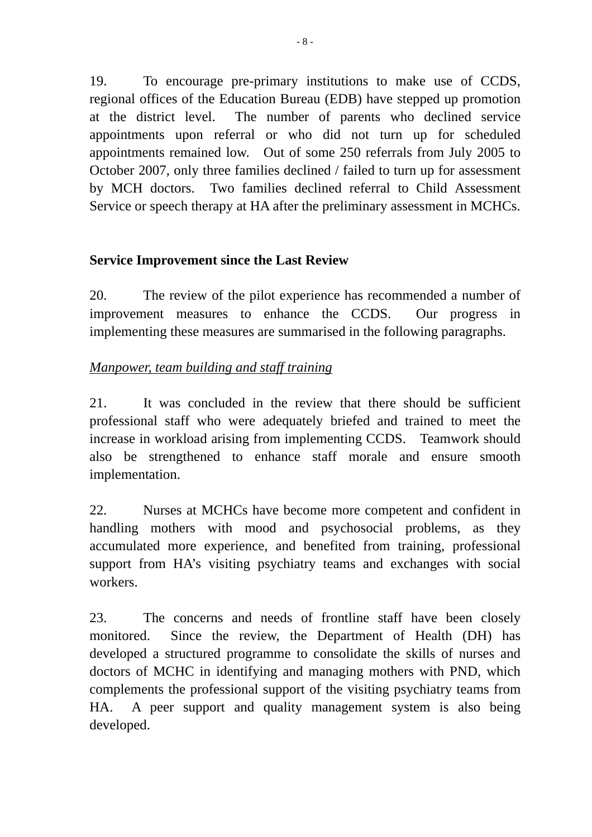19. To encourage pre-primary institutions to make use of CCDS, regional offices of the Education Bureau (EDB) have stepped up promotion at the district level. The number of parents who declined service appointments upon referral or who did not turn up for scheduled appointments remained low. Out of some 250 referrals from July 2005 to October 2007, only three families declined / failed to turn up for assessment by MCH doctors. Two families declined referral to Child Assessment Service or speech therapy at HA after the preliminary assessment in MCHCs.

### **Service Improvement since the Last Review**

20. The review of the pilot experience has recommended a number of improvement measures to enhance the CCDS. Our progress in implementing these measures are summarised in the following paragraphs.

## *Manpower, team building and staff training*

21. It was concluded in the review that there should be sufficient professional staff who were adequately briefed and trained to meet the increase in workload arising from implementing CCDS. Teamwork should also be strengthened to enhance staff morale and ensure smooth implementation.

22. Nurses at MCHCs have become more competent and confident in handling mothers with mood and psychosocial problems, as they accumulated more experience, and benefited from training, professional support from HA's visiting psychiatry teams and exchanges with social workers.

23. The concerns and needs of frontline staff have been closely monitored. Since the review, the Department of Health (DH) has developed a structured programme to consolidate the skills of nurses and doctors of MCHC in identifying and managing mothers with PND, which complements the professional support of the visiting psychiatry teams from HA. A peer support and quality management system is also being developed.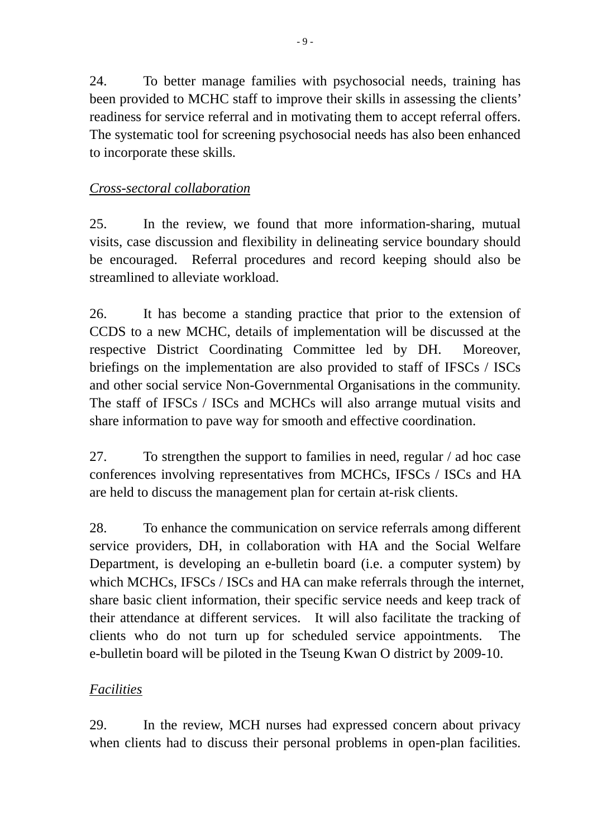24. To better manage families with psychosocial needs, training has been provided to MCHC staff to improve their skills in assessing the clients' readiness for service referral and in motivating them to accept referral offers. The systematic tool for screening psychosocial needs has also been enhanced to incorporate these skills.

## *Cross-sectoral collaboration*

25. In the review, we found that more information-sharing, mutual visits, case discussion and flexibility in delineating service boundary should be encouraged. Referral procedures and record keeping should also be streamlined to alleviate workload.

26. It has become a standing practice that prior to the extension of CCDS to a new MCHC, details of implementation will be discussed at the respective District Coordinating Committee led by DH. Moreover, briefings on the implementation are also provided to staff of IFSCs / ISCs and other social service Non-Governmental Organisations in the community. The staff of IFSCs / ISCs and MCHCs will also arrange mutual visits and share information to pave way for smooth and effective coordination.

27. To strengthen the support to families in need, regular / ad hoc case conferences involving representatives from MCHCs, IFSCs / ISCs and HA are held to discuss the management plan for certain at-risk clients.

28. To enhance the communication on service referrals among different service providers, DH, in collaboration with HA and the Social Welfare Department, is developing an e-bulletin board (i.e. a computer system) by which MCHCs, IFSCs / ISCs and HA can make referrals through the internet, share basic client information, their specific service needs and keep track of their attendance at different services. It will also facilitate the tracking of clients who do not turn up for scheduled service appointments. The e-bulletin board will be piloted in the Tseung Kwan O district by 2009-10.

### *Facilities*

29. In the review, MCH nurses had expressed concern about privacy when clients had to discuss their personal problems in open-plan facilities.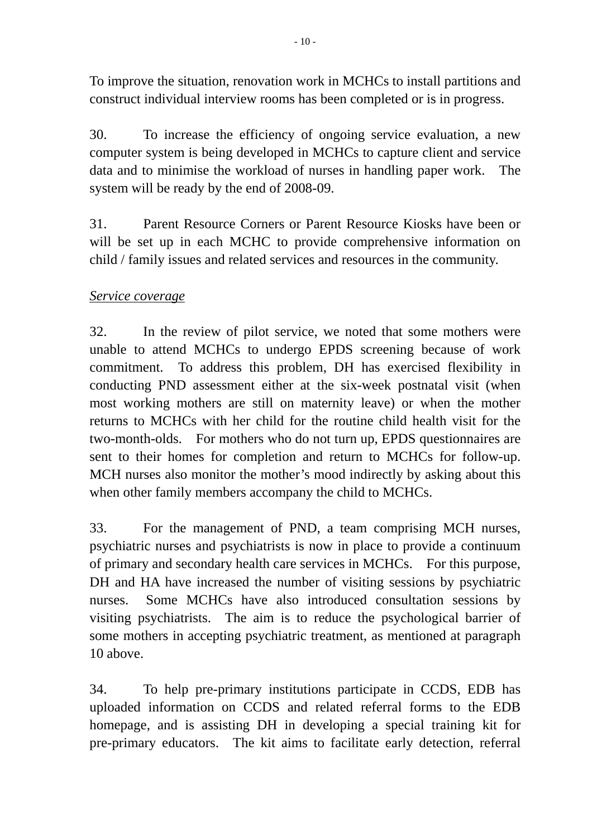To improve the situation, renovation work in MCHCs to install partitions and construct individual interview rooms has been completed or is in progress.

30. To increase the efficiency of ongoing service evaluation, a new computer system is being developed in MCHCs to capture client and service data and to minimise the workload of nurses in handling paper work. The system will be ready by the end of 2008-09.

31. Parent Resource Corners or Parent Resource Kiosks have been or will be set up in each MCHC to provide comprehensive information on child / family issues and related services and resources in the community.

#### *Service coverage*

32. In the review of pilot service, we noted that some mothers were unable to attend MCHCs to undergo EPDS screening because of work commitment. To address this problem, DH has exercised flexibility in conducting PND assessment either at the six-week postnatal visit (when most working mothers are still on maternity leave) or when the mother returns to MCHCs with her child for the routine child health visit for the two-month-olds. For mothers who do not turn up, EPDS questionnaires are sent to their homes for completion and return to MCHCs for follow-up. MCH nurses also monitor the mother's mood indirectly by asking about this when other family members accompany the child to MCHCs.

33. For the management of PND, a team comprising MCH nurses, psychiatric nurses and psychiatrists is now in place to provide a continuum of primary and secondary health care services in MCHCs. For this purpose, DH and HA have increased the number of visiting sessions by psychiatric nurses. Some MCHCs have also introduced consultation sessions by visiting psychiatrists. The aim is to reduce the psychological barrier of some mothers in accepting psychiatric treatment, as mentioned at paragraph 10 above.

34. To help pre-primary institutions participate in CCDS, EDB has uploaded information on CCDS and related referral forms to the EDB homepage, and is assisting DH in developing a special training kit for pre-primary educators. The kit aims to facilitate early detection, referral